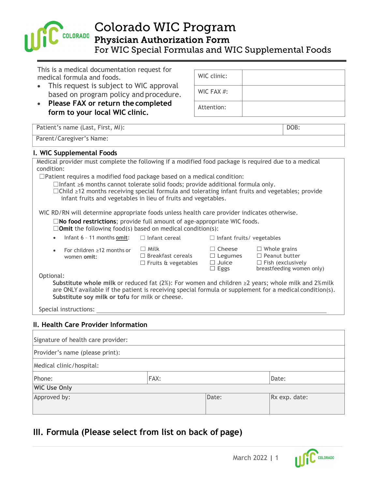

Colorado WIC Program

Physician Authorization Form

For WIC Special Formulas and WIC Supplemental Foods

This is a medical documentation request for medical formula and foods.

- This request is subject to WIC approval based on program policy and procedure.
- **Please FAX or return the completed form to your local WIC clinic.**

WIC clinic: WIC FAX #: Attention:

|            | Patient's name (Last, First, MI):                                                                                                                                                                                                                                             |                                                                       |                                                                | DOB:                                                                                                                                                                                                               |
|------------|-------------------------------------------------------------------------------------------------------------------------------------------------------------------------------------------------------------------------------------------------------------------------------|-----------------------------------------------------------------------|----------------------------------------------------------------|--------------------------------------------------------------------------------------------------------------------------------------------------------------------------------------------------------------------|
|            | Parent/Caregiver's Name:                                                                                                                                                                                                                                                      |                                                                       |                                                                |                                                                                                                                                                                                                    |
|            | I. WIC Supplemental Foods                                                                                                                                                                                                                                                     |                                                                       |                                                                |                                                                                                                                                                                                                    |
| condition: | Medical provider must complete the following if a modified food package is required due to a medical                                                                                                                                                                          |                                                                       |                                                                |                                                                                                                                                                                                                    |
|            | $\Box$ Patient requires a modified food package based on a medical condition:                                                                                                                                                                                                 |                                                                       |                                                                |                                                                                                                                                                                                                    |
|            | $\Box$ Infant $\geq$ 6 months cannot tolerate solid foods; provide additional formula only.<br>$\Box$ Child $\geq$ 12 months receiving special formula and tolerating infant fruits and vegetables; provide<br>infant fruits and vegetables in lieu of fruits and vegetables. |                                                                       |                                                                |                                                                                                                                                                                                                    |
|            | WIC RD/RN will determine appropriate foods unless health care provider indicates otherwise.                                                                                                                                                                                   |                                                                       |                                                                |                                                                                                                                                                                                                    |
|            | $\square$ No food restrictions; provide full amount of age-appropriate WIC foods.<br>$\square$ <b>Omit</b> the following food(s) based on medical condition(s):                                                                                                               |                                                                       |                                                                |                                                                                                                                                                                                                    |
| $\bullet$  | Infant 6 - 11 months omit:                                                                                                                                                                                                                                                    | $\Box$ Infant cereal                                                  | $\Box$ Infant fruits/ vegetables                               |                                                                                                                                                                                                                    |
| $\bullet$  | For children $\geq 12$ months or<br>women omit:                                                                                                                                                                                                                               | $\Box$ Milk<br>$\Box$ Breakfast cereals<br>$\Box$ Fruits & vegetables | $\Box$ Cheese<br>$\Box$ Legumes<br>$\Box$ Juice<br>$\Box$ Eggs | $\Box$ Whole grains<br>$\Box$ Peanut butter<br>$\Box$ Fish (exclusively<br>breastfeeding women only)                                                                                                               |
| Optional:  |                                                                                                                                                                                                                                                                               |                                                                       |                                                                |                                                                                                                                                                                                                    |
|            | Substitute soy milk or tofu for milk or cheese.                                                                                                                                                                                                                               |                                                                       |                                                                | Substitute whole milk or reduced fat (2%): For women and children $\geq$ years; whole milk and 2% milk<br>are ONLY available if the patient is receiving special formula or supplement for a medical condition(s). |
|            | Special instructions:                                                                                                                                                                                                                                                         |                                                                       |                                                                |                                                                                                                                                                                                                    |
|            |                                                                                                                                                                                                                                                                               |                                                                       |                                                                |                                                                                                                                                                                                                    |
|            | II. Health Care Provider Information                                                                                                                                                                                                                                          |                                                                       |                                                                |                                                                                                                                                                                                                    |
|            |                                                                                                                                                                                                                                                                               |                                                                       |                                                                |                                                                                                                                                                                                                    |

## Signature of health care provider: Provider's name (please print): Medical clinic/hospital: Phone: FAX: Phone: Phone: Phone: Phone: Phone: Phone: Phone: Phone: Phone: Phone: Phone: Phone: Phone: Phone: Phone: Phone: Phone: Phone: Phone: Phone: Phone: Phone: Phone: Phone: Phone: Phone: Phone: Phone: Phone: Phone: **WIC Use Only** Approved by:  $\vert$ Date:  $\vert$ Rx exp. date:

## **III. Formula (Please select from list on back of page)**